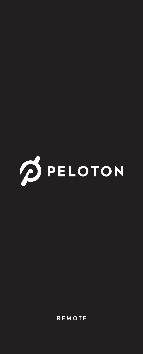

**REMOTE**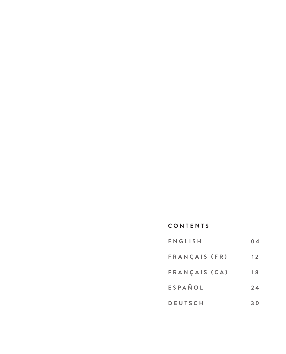# **CONTENTS**

| ENGLISH        | 0 <sub>4</sub> |
|----------------|----------------|
| FRANCAIS (FR)  | 12             |
| FRANCAIS (CA)  | 18             |
| ESPAÑOL        | 24             |
| <b>DEUTSCH</b> | 30             |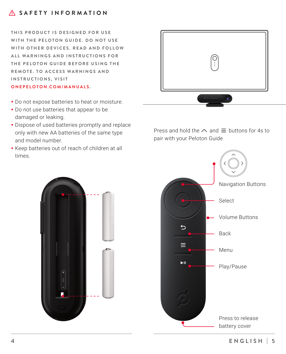# **SAFETY INFORMATION**

**THIS PRODUCT IS DESIGNED FOR USE** WITH THE PELOTON GUIDE. DO NOT USE WITH OTHER DEVICES. READ AND FOLLOW **A L L W A R N I N G S A N D I N S T R U C T I O N S F O R THE PELOTON GUIDE BEFORE USING THE REMOTE. TO ACCESS WARNINGS AND INSTRUCTIONS, VISIT**

#### **ONEPELOTON.COM/MANUALS .**

- Do not expose batteries to heat or moisture.
- Do not use batteries that appear to be damaged or leaking.
- Dispose of used batteries promptly and replace only with new AA batteries of the same type and model number.
- Keep batteries out of reach of children at all times.



Press and hold the  $\land$  and  $\equiv$  buttons for 4s to pair with your Peloton Guide



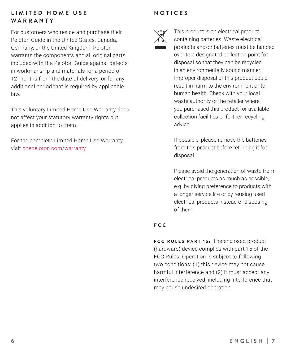# **LIMITED HOME USE WARRANTY**

For customers who reside and purchase their Peloton Guide in the United States, Canada, Germany, or the United Kingdom, Peloton warrants the components and all original parts included with the Peloton Guide against defects in workmanship and materials for a period of 12 months from the date of delivery, or for any additional period that is required by applicable law.

This voluntary Limited Home Use Warranty does not affect your statutory warranty rights but applies in addition to them.

For the complete Limited Home Use Warranty, visit onepeloton.com/warranty.

# **NOTICES**



This product is an electrical product containing batteries. Waste electrical products and/or batteries must be handed over to a designated collection point for disposal so that they can be recycled in an environmentally sound manner. Improper disposal of this product could result in harm to the environment or to human health. Check with your local waste authority or the retailer where you purchased this product for available collection facilities or further recycling advice.

If possible, please remove the batteries from this product before returning it for disposal.

Please avoid the generation of waste from electrical products as much as possible, e.g. by giving preference to products with a longer service life or by reusing used electrical products instead of disposing of them.

# **FCC**

**FCC RULES PART 15:** The enclosed product (hardware) device complies with part 15 of the FCC Rules. Operation is subject to following two conditions: (1) this device may not cause harmful interference and (2) it must accept any interference received, including interference that may cause undesired operation.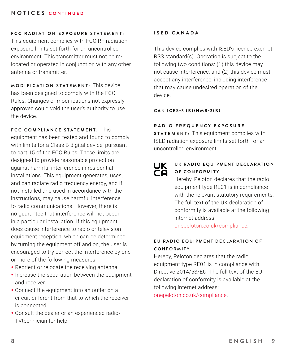# **NOTICES CONTINUED**

#### **FCC RADIATION EXPOSURE STATEMENT.**

This equipment complies with FCC RF radiation exposure limits set forth for an uncontrolled environment. This transmitter must not be relocated or operated in conjunction with any other antenna or transmitter.

**MODIFICATION STATEMENT:** This device has been designed to comply with the FCC Rules. Changes or modifications not expressly approved could void the user's authority to use the device.

# **FCC COMPLIANCE STATEMENT:** This

equipment has been tested and found to comply with limits for a Class B digital device, pursuant to part 15 of the FCC Rules. These limits are designed to provide reasonable protection against harmful interference in residential installations. This equipment generates, uses, and can radiate radio frequency energy, and if not installed and used in accordance with the instructions, may cause harmful interference to radio communications. However, there is no guarantee that interference will not occur in a particular installation. If this equipment does cause interference to radio or television equipment reception, which can be determined by turning the equipment off and on, the user is encouraged to try correct the interference by one or more of the following measures:

- Reorient or relocate the receiving antenna
- Increase the separation between the equipment and receiver
- Connect the equipment into an outlet on a circuit different from that to which the receiver is connected.
- y Consult the dealer or an experienced radio/ TVtechnician for help.

#### **ISED CANADA**

This device complies with ISED's licence-exempt RSS standard(s). Operation is subject to the following two conditions: (1) this device may not cause interference, and (2) this device must accept any interference, including interference that may cause undesired operation of the device.

#### **CAN ICES-3 (B)/NMB-3(B)**

# **R A D I O F R E Q U E N C Y E X P O S U R E**

**STATEMENT:** This equipment complies with ISED radiation exposure limits set forth for an uncontrolled environment.

# Ҝ

### UK RADIO EOUIPMENT DECLARATION **OF CONFORMITY**

Hereby, Peloton declares that the radio equipment type RE01 is in compliance with the relevant statutory requirements. The full text of the UK declaration of conformity is available at the following internet address:

onepeloton.co.uk/compliance.

### **EU RADIO EQUIPMENT DECLARATION OF C O N F O R M I T Y**

Hereby, Peloton declares that the radio equipment type RE01 is in compliance with Directive 2014/53/EU. The full text of the EU. declaration of conformity is available at the following internet address: onepeloton.co.uk/compliance.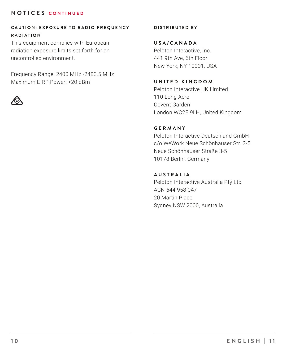# **NOTICES CONTINUED**

## **CAUTION: EXPOSURE TO RADIO FREQUENCY RADIATION**

This equipment complies with European radiation exposure limits set forth for an uncontrolled environment.

Frequency Range: 2400 MHz -2483.5 MHz Maximum EIRP Power: <20 dBm



**DISTRIBUTED BY**

**USA/CANADA** Peloton Interactive, Inc. 441 9th Ave, 6th Floor New York, NY 10001, USA

# **UNITED KINGDOM**

Peloton Interactive UK Limited 110 Long Acre Covent Garden London WC2E 9LH, United Kingdom

# **GERMANY**

Peloton Interactive Deutschland GmbH c/o WeWork Neue Schönhauser Str. 3-5 Neue Schönhauser Straße 3-5 10178 Berlin, Germany

## **AUSTRALIA**

Peloton Interactive Australia Pty Ltd ACN 644 958 047 20 Martin Place Sydney NSW 2000, Australia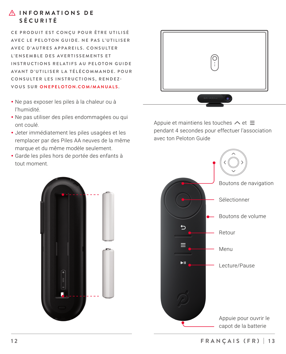

CE PRODUIT EST CONCU POUR ÊTRE UTILISÉ **AV E C L E P E L O T O N G U I D E . N E P A S L ' U T I L I S E R AVEC D'AUTRES APPAREILS. CONSULTER L ' E N S E M B L E D E S AV E R T I S S E M E N T S E T INSTRUCTIONS RELATIFS AU PELOTON GUIDE** AVANT D'UTILISER LA TÉLÉCOMMANDE. POUR **CONSULTER LES INSTRUCTIONS, RENDEZ-VOUS SUR ONEPELOTON.COM/MANUALS .**

- y Ne pas exposer les piles à la chaleur ou à l'humidité.
- Ne pas utiliser des piles endommagées ou qui ont coulé.
- Jeter immédiatement les piles usagées et les remplacer par des Piles AA neuves de la même marque et du même modèle seulement.
- y Garde les piles hors de portée des enfants à tout moment.



Appuie et maintiens les touches  $\land$  et  $\equiv$ pendant 4 secondes pour effectuer l'association avec ton Peloton Guide



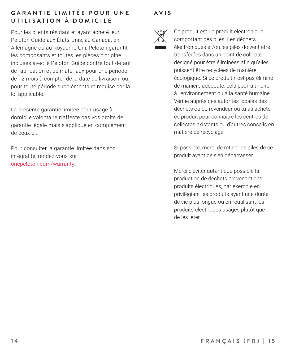# **GARANTIE LIMITÉE POUR UNE UTILISATION À DOMICILE**

Pour les clients résidant et ayant acheté leur Peloton Guide aux États-Unis, au Canada, en Allemagne ou au Royaume-Uni, Peloton garantit les composants et toutes les pièces d'origine incluses avec le Peloton Guide contre tout défaut de fabrication et de matériaux pour une période de 12 mois à compter de la date de livraison, ou pour toute période supplémentaire requise par la loi applicable.

La présente garantie limitée pour usage à domicile volontaire n'affecte pas vos droits de garantie légale mais s'applique en complément de ceux-ci.

Pour consulter la garantie limitée dans son intégralité, rendez-vous sur onepeloton.com/warranty.

# **AVIS**



Ce produit est un produit électronique comportant des piles. Les déchets électroniques et/ou les piles doivent être transférées dans un point de collecte désigné pour être éliminées afin qu'elles puissent être recyclées de manière écologique. Si ce produit n'est pas éliminé de manière adéquate, cela pourrait nuire à l'environnement ou à la santé humaine. Vérifie auprès des autorités locales des déchets ou du revendeur où tu as acheté ce produit pour connaître les centres de collectes existants ou d'autres conseils en matière de recyclage.

Si possible, merci de retirer les piles de ce produit avant de s'en débarrasser.

Merci d'éviter autant que possible la production de déchets provenant des produits électriques, par exemple en privilégiant les produits ayant une durée de vie plus longue ou en réutilisant les produits électriques usagés plutôt que de les jeter.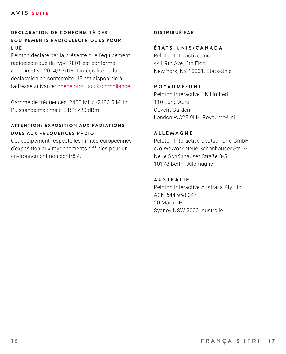# **D É C L A R A T I O N D E C O N F O R M I T É D E S É QUIPEMENTS RADIOÉLECTRIQUES POUR L ' U E**

Peloton déclare par la présente que l'équipement radioélectrique de type RE01 est conforme à la Directive 2014/53/UE. L'intégralité de la déclaration de conformité UE est disponible à l'adresse suivante: onepeloton.co.uk/compliance.

Gamme de fréquences: 2400 MHz -2483.5 MHz Puissance maximale EIRP: <20 dBm

## **A T T E N T I O N : E X P O S I T I O N A U X R A D I A T I O N S DUES AUX FRÉQUENCES RADIO**

Cet équipement respecte les limites européennes d'exposition aux rayonnements définies pour un environnement non contrôlé.

#### **DISTRIBUÉ PAR**

#### **ÉTATS-UNIS/CANADA**

Peloton Interactive, Inc. 441 9th Ave, 6th Floor New York, NY 10001, États-Unis

**ROYAUME-UNI** Peloton Interactive UK Limited 110 Long Acre Covent Garden London WC2E 9LH, Royaume-Uni

#### **ALLEMAGNE**

Peloton Interactive Deutschland GmbH c/o WeWork Neue Schönhauser Str. 3-5 Neue Schönhauser Straße 3-5 10178 Berlin, Allemagne

#### **AUSTRALIE**

Peloton Interactive Australia Pty Ltd ACN 644 958 047 20 Martin Place Sydney NSW 2000, Australie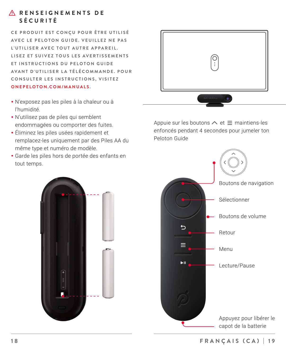# *A RENSEIGNEMENTS DE* **SÉCURITÉ**

CE PRODUIT EST CONCU POUR ÊTRE UTILISÉ **AVEC LE PELOTON GUIDE VEULLEZ NE PAS** L'UTILISER AVEC TOUT AUTRE APPAREIL. LIS E Z ET SUIVEZ TOUS LES AVERTISSEMENTS **ET INSTRUCTIONS DU PELOTON GUIDE** AVANT D'UTILISER LA TÉLÉCOMMANDE. POUR **CONSULTER LES INSTRUCTIONS, VISITEZ** 

**ONEPELOTON.COM/MANUALS .**

- y N'exposez pas les piles à la chaleur ou à l'humidité.
- N'utilisez pas de piles qui semblent endommagées ou comporter des fuites.
- **•** Éliminez les piles usées rapidement et remplacez-les uniquement par des Piles AA du même type et numéro de modèle.
- y Garde les piles hors de portée des enfants en tout temps.



Appuie sur les boutons  $\land$  et  $\equiv$  maintiens-les enfoncés pendant 4 secondes pour jumeler ton Peloton Guide



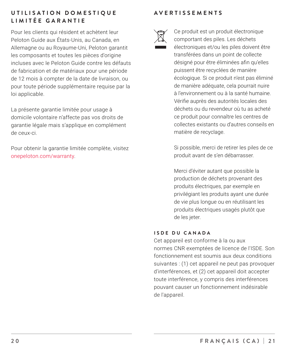# UTILISATION DOMESTIQUE **LIMITÉE GARANTIE**

Pour les clients qui résident et achètent leur Peloton Guide aux États-Unis, au Canada, en Allemagne ou au Royaume-Uni, Peloton garantit les composants et toutes les pièces d'origine incluses avec le Peloton Guide contre les défauts de fabrication et de matériaux pour une période de 12 mois à compter de la date de livraison, ou pour toute période supplémentaire requise par la loi applicable.

La présente garantie limitée pour usage à domicile volontaire n'affecte pas vos droits de garantie légale mais s'applique en complément de ceux-ci.

Pour obtenir la garantie limitée complète, visitez onepeloton.com/warranty.

# **AVERTISSEMENTS**



Ce produit est un produit électronique comportant des piles. Les déchets électroniques et/ou les piles doivent être transférées dans un point de collecte désigné pour être éliminées afin qu'elles puissent être recyclées de manière écologique. Si ce produit n'est pas éliminé de manière adéquate, cela pourrait nuire à l'environnement ou à la santé humaine. Vérifie auprès des autorités locales des déchets ou du revendeur où tu as acheté ce produit pour connaître les centres de collectes existants ou d'autres conseils en matière de recyclage.

Si possible, merci de retirer les piles de ce produit avant de s'en débarrasser.

Merci d'éviter autant que possible la production de déchets provenant des produits électriques, par exemple en privilégiant les produits ayant une durée de vie plus longue ou en réutilisant les produits électriques usagés plutôt que de les jeter.

#### **ISDE DU CANADA**

Cet appareil est conforme à la ou aux normes CNR exemptées de licence de l'ISDE. Son fonctionnement est soumis aux deux conditions suivantes : (1) cet appareil ne peut pas provoquer d'interférences, et (2) cet appareil doit accepter toute interférence, y compris des interférences pouvant causer un fonctionnement indésirable de l'appareil.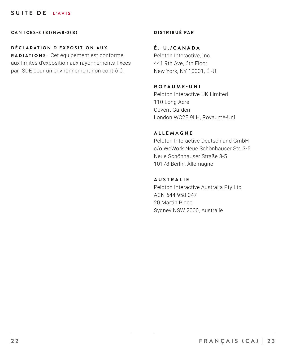## **SUITE DE L'AVIS**

**CAN ICES-3 (B)/NMB-3(B)**

#### **D É C L A R A T I O N D ' E X P O S I T I O N A U X**

**RADIATIONS:** Cet équipement est conforme aux limites d'exposition aux rayonnements fixées par ISDE pour un environnement non contrôlé.

## **DISTRIBUÉ PAR**

## **É.-U./CANADA**

Peloton Interactive, Inc. 441 9th Ave, 6th Floor New York, NY 10001, É -U.

**ROYAUME-UNI** Peloton Interactive UK Limited 110 Long Acre Covent Garden London WC2E 9LH, Royaume-Uni

#### **ALLEMAGNE**

Peloton Interactive Deutschland GmbH c/o WeWork Neue Schönhauser Str. 3-5 Neue Schönhauser Straße 3-5 10178 Berlin, Allemagne

#### **AUSTRALIE**

Peloton Interactive Australia Pty Ltd ACN 644 958 047 20 Martin Place Sydney NSW 2000, Australie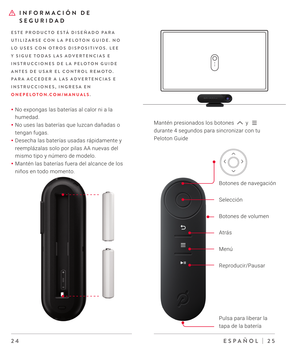# **A** INFORMACIÓN DE **SEGURIDAD**

**E S T E P R O D U C T O E S T Á D I S E Ñ A D O P A R A**  UTILIZARSE CON LA PELOTON GUIDE. NO **LO USES CON OTROS DISPOSITIVOS. LEE** Y SIGUE TODAS LAS ADVERTENCIAS E **INSTRUCCIONES DE LA PELOTON GUIDE** ANTES DE USAR EL CONTROL REMOTO. **PARA ACCEDER A LAS ADVERTENCIAS E INSTRUCCIONES, INGRESA EN ONEPELOTON.COM/MANUALS .**

- y No expongas las baterías al calor ni a la humedad.
- y No uses las baterías que luzcan dañadas o tengan fugas.
- y Desecha las baterías usadas rápidamente y reemplázalas solo por pilas AA nuevas del mismo tipo y número de modelo.
- y Mantén las baterías fuera del alcance de los niños en todo momento.





Mantén presionados los botones  $\land$  y  $\equiv$ durante 4 segundos para sincronizar con tu Peloton Guide

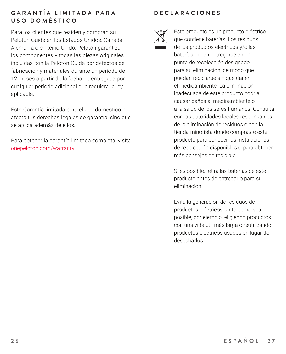# **G A R A N T Í A L I M I T A D A P A R A USO DOMÉSTICO**

Para los clientes que residen y compran su Peloton Guide en los Estados Unidos, Canadá, Alemania o el Reino Unido, Peloton garantiza los componentes y todas las piezas originales incluidas con la Peloton Guide por defectos de fabricación y materiales durante un período de 12 meses a partir de la fecha de entrega, o por cualquier período adicional que requiera la ley aplicable.

Esta Garantía limitada para el uso doméstico no afecta tus derechos legales de garantía, sino que se aplica además de ellos.

Para obtener la garantía limitada completa, visita onepeloton.com/warranty.

# **DECLARACIONES**



Este producto es un producto eléctrico que contiene baterías. Los residuos de los productos eléctricos y/o las baterías deben entregarse en un punto de recolección designado para su eliminación, de modo que puedan reciclarse sin que dañen el medioambiente. La eliminación inadecuada de este producto podría causar daños al medioambiente o a la salud de los seres humanos. Consulta con las autoridades locales responsables de la eliminación de residuos o con la tienda minorista donde compraste este producto para conocer las instalaciones de recolección disponibles o para obtener más consejos de reciclaje.

Si es posible, retira las baterías de este producto antes de entregarlo para su eliminación.

Evita la generación de residuos de productos eléctricos tanto como sea posible, por ejemplo, eligiendo productos con una vida útil más larga o reutilizando productos eléctricos usados en lugar de desecharlos.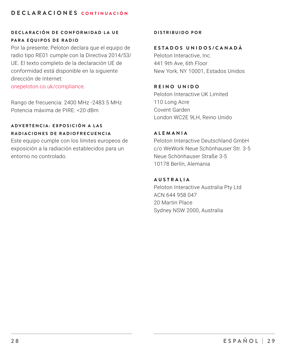# **DECLARACIONES CONTINUACIÓN**

# **D E C L A R A C I Ó N D E C O N F O R M I D A D L A U E PARA EQUIPOS DE RADIO**

Por la presente, Peloton declara que el equipo de radio tipo RE01 cumple con la Directiva 2014/53/ UE. El texto completo de la declaración UE de conformidad está disponible en la siguiente dirección de Internet:

onepeloton.co.uk/compliance.

Rango de frecuencia: 2400 MHz -2483.5 MHz Potencia máxima de PIRE: <20 dBm

# **A D V E R T E N C I A : E X P O S I C I Ó N A L A S RADIACIONES DE RADIOFRECUENCIA**

Este equipo cumple con los límites europeos de exposición a la radiación establecidos para un entorno no controlado.

#### **DISTRIBUIDO POR**

#### **ESTADOS UNIDOS/CANADÁ**

Peloton Interactive, Inc. 441 9th Ave, 6th Floor New York, NY 10001, Estados Unidos

#### **REINO UNIDO**

Peloton Interactive UK Limited 110 Long Acre Covent Garden London WC2E 9LH, Reino Unido

#### **ALEMANIA**

Peloton Interactive Deutschland GmbH c/o WeWork Neue Schönhauser Str. 3-5 Neue Schönhauser Straße 3-5 10178 Berlín, Alemania

#### **AUSTRALIA**

Peloton Interactive Australia Pty Ltd ACN 644 958 047 20 Martin Place Sydney NSW 2000, Australia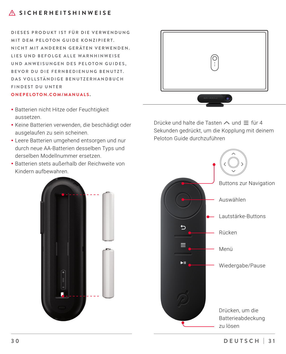**D I E S E S P R O D U K T I S T F Ü R D I E V E R W E N D U N G MIT DEM PELOTON GUIDE KONZIPIERT. NICHT MIT ANDEREN GERÄTEN VERWENDEN.** LIES UND BEFOLGE ALLE WARNHINWEISE **UND ANWEISUNGEN DES PELOTON GUIDES. BEVOR DU DIE FERNBEDIENUNG BENUTZT. D A S V O L L S T Ä N D I G E B E N U T Z E R H A N D B U C H FINDEST DU UNTER** 

#### **ONEPELOTON.COM/MANUALS .**

- Batterien nicht Hitze oder Feuchtigkeit aussetzen.
- Keine Batterien verwenden, die beschädigt oder ausgelaufen zu sein scheinen.
- Leere Batterien umgehend entsorgen und nur durch neue AA-Batterien desselben Typs und derselben Modellnummer ersetzen.
- y Batterien stets außerhalb der Reichweite von Kindern aufbewahren.





Drücke und halte die Tasten  $\land$  und  $\equiv$  für 4 Sekunden gedrückt, um die Kopplung mit deinem Peloton Guide durchzuführen

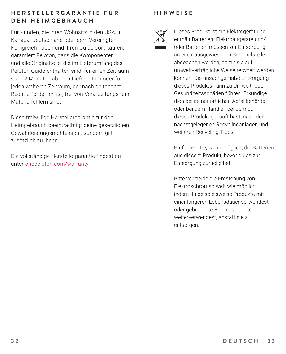# **H E R S T E L L E R G A R A N T I E F Ü R DEN HEIMGEBRAUCH**

Für Kunden, die ihren Wohnsitz in den USA, in Kanada, Deutschland oder dem Vereinigten Königreich haben und ihren Guide dort kaufen, garantiert Peloton, dass die Komponenten und alle Originalteile, die im Lieferumfang des Peloton Guide enthalten sind, für einen Zeitraum von 12 Monaten ab dem Lieferdatum oder für jeden weiteren Zeitraum, der nach geltendem Recht erforderlich ist, frei von Verarbeitungs- und Materialfehlern sind.

Diese freiwillige Herstellergarantie für den Heimgebrauch beeinträchtigt deine gesetzlichen Gewährleistungsrechte nicht, sondern gilt zusätzlich zu ihnen.

Die vollständige Herstellergarantie findest du unter onepeloton.com/warranty.

# **HINWEISE**



Dieses Produkt ist ein Elektrogerät und enthält Batterien. Elektroaltgeräte und/ oder Batterien müssen zur Entsorgung an einer ausgewiesenen Sammelstelle abgegeben werden, damit sie auf umweltverträgliche Weise recycelt werden können. Die unsachgemäße Entsorgung dieses Produkts kann zu Umwelt- oder Gesundheitsschäden führen. Erkundige dich bei deiner örtlichen Abfallbehörde oder bei dem Händler, bei dem du dieses Produkt gekauft hast, nach den nächstgelegenen Recyclinganlagen und weiteren Recycling-Tipps.

Entferne bitte, wenn möglich, die Batterien aus diesem Produkt, bevor du es zur Entsorgung zurückgibst.

Bitte vermeide die Entstehung von Elektroschrott so weit wie möglich, indem du beispielsweise Produkte mit einer längeren Lebensdauer verwendest oder gebrauchte Elektroprodukte weiterverwendest, anstatt sie zu entsorgen.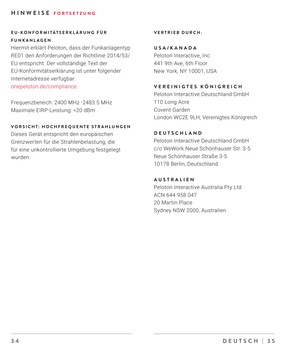## **HINWEISE FORTSETZUNG**

# **E U - K O N F O R M I T Ä T S E R K L Ä R U N G F Ü R F U N K A N L A G E N**

Hiermit erklärt Peloton, dass der Funkanlagentyp RE01 den Anforderungen der Richtlinie 2014/53/ EU entspricht. Der vollständige Text der EU-Konformitätserklärung ist unter folgender Internetadresse verfügbar:

onepeloton.de/compliance.

Frequenzbereich: 2400 MHz -2483.5 MHz Maximale EIRP-Leistung: <20 dBm

#### **VORSICHT: HOCHFREQUENTE STRAHLUNGEN**

Dieses Gerät entspricht den europäischen Grenzwerten für die Strahlenbelastung, die für eine unkontrollierte Umgebung festgelegt wurden.

#### **VERTRIEB DURCH:**

**USA/KANADA** Peloton Interactive, Inc. 441 9th Ave, 6th Floor New York, NY 10001, USA

# **VEREINIGTES KÖNIGREICH**

Peloton Interactive Deutschland GmbH 110 Long Acre Covent Garden London WC2E 9LH, Vereinigtes Königreich

#### **DEUTSCHLAND**

Peloton Interactive Deutschland GmbH c/o WeWork Neue Schönhauser Str. 3-5 Neue Schönhauser Straße 3-5 10178 Berlin, Deutschland

#### **AUSTRALIEN**

Peloton Interactive Australia Pty Ltd ACN 644 958 047 20 Martin Place Sydney NSW 2000, Australien